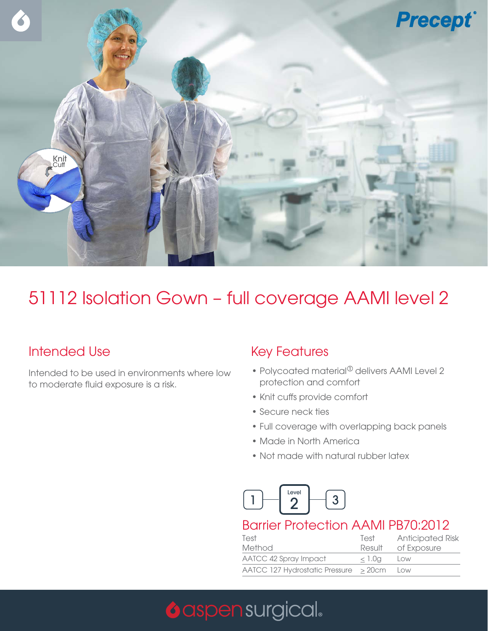

## 51112 Isolation Gown – full coverage AAMI level 2

### Intended Use

Intended to be used in environments where low to moderate fluid exposure is a risk.

#### Key Features

- Polycoated material $^{\circ}$  delivers AAMI Level 2 protection and comfort
- Knit cuffs provide comfort
- Secure neck ties
- Full coverage with overlapping back panels
- Made in North America
- Not made with natural rubber latex



#### Barrier Protection AAMI PB70:2012

| Test                                         | Test      | <b>Anticipated Risk</b> |
|----------------------------------------------|-----------|-------------------------|
| Method                                       | Result    | of Exposure             |
| AATCC 42 Spray Impact                        | $< 1.0$ g | Low                     |
| $AATCC$ 127 Hydrostatic Pressure $\geq$ 20cm |           | Low                     |

# **O** aspen surgical.